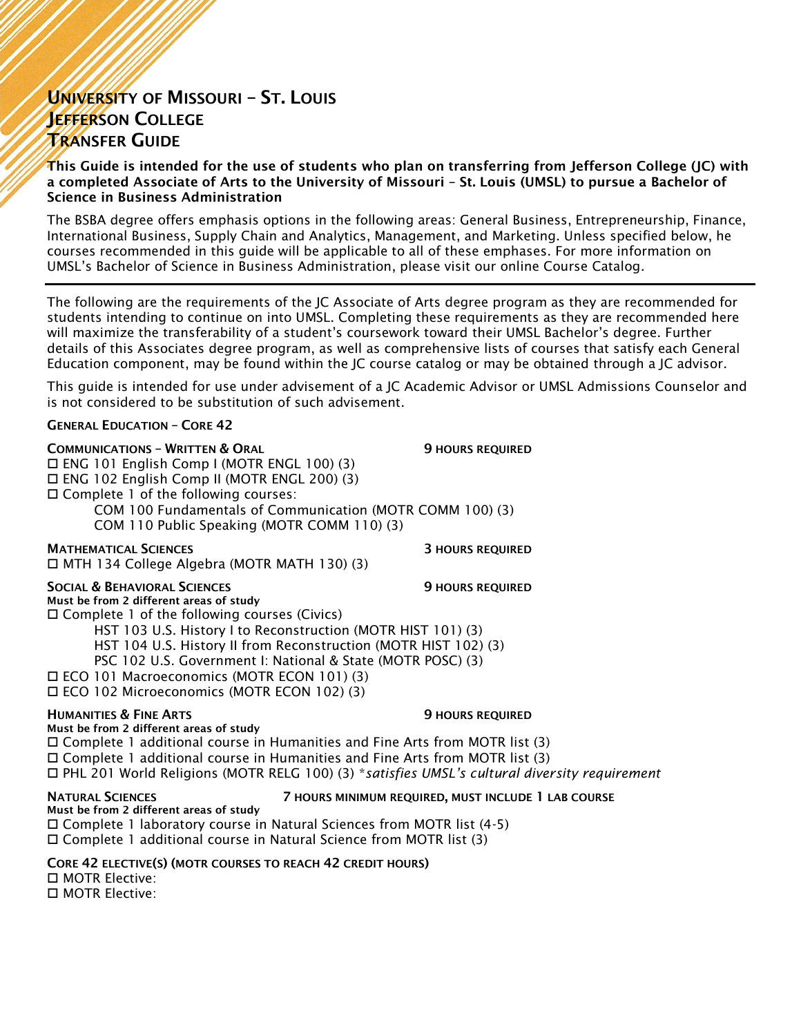# UNIVERSITY OF MISSOURI – ST. LOUIS JEFFERSON COLLEGE TRANSFER GUIDE

This Guide is intended for the use of students who plan on transferring from Jefferson College (JC) with a completed Associate of Arts to the University of Missouri – St. Louis (UMSL) to pursue a Bachelor of Science in Business Administration

The BSBA degree offers emphasis options in the following areas: General Business, Entrepreneurship, Finance, International Business, Supply Chain and Analytics, Management, and Marketing. Unless specified below, he courses recommended in this guide will be applicable to all of these emphases. For more information on UMSL's Bachelor of Science in Business Administration, please visit our online Course Catalog.

The following are the requirements of the JC Associate of Arts degree program as they are recommended for students intending to continue on into UMSL. Completing these requirements as they are recommended here will maximize the transferability of a student's coursework toward their UMSL Bachelor's degree. Further details of this Associates degree program, as well as comprehensive lists of courses that satisfy each General Education component, may be found within the JC course catalog or may be obtained through a JC advisor.

This guide is intended for use under advisement of a JC Academic Advisor or UMSL Admissions Counselor and is not considered to be substitution of such advisement.

#### GENERAL EDUCATION – CORE 42

| <b>COMMUNICATIONS - WRITTEN &amp; ORAL</b><br>$\Box$ ENG 101 English Comp I (MOTR ENGL 100) (3)<br>□ ENG 102 English Comp II (MOTR ENGL 200) (3)<br>$\Box$ Complete 1 of the following courses:<br>COM 110 Public Speaking (MOTR COMM 110) (3) | <b>9 HOURS REQUIRED</b><br>COM 100 Fundamentals of Communication (MOTR COMM 100) (3)                                                                                                                                                                                                                  |
|------------------------------------------------------------------------------------------------------------------------------------------------------------------------------------------------------------------------------------------------|-------------------------------------------------------------------------------------------------------------------------------------------------------------------------------------------------------------------------------------------------------------------------------------------------------|
| <b>MATHEMATICAL SCIENCES</b><br>□ MTH 134 College Algebra (MOTR MATH 130) (3)                                                                                                                                                                  | <b>3 HOURS REQUIRED</b>                                                                                                                                                                                                                                                                               |
| <b>SOCIAL &amp; BEHAVIORAL SCIENCES</b><br>Must be from 2 different areas of study<br>$\Box$ Complete 1 of the following courses (Civics)<br>□ ECO 101 Macroeconomics (MOTR ECON 101) (3)<br>□ ECO 102 Microeconomics (MOTR ECON 102) (3)      | <b>9 HOURS REQUIRED</b><br>HST 103 U.S. History I to Reconstruction (MOTR HIST 101) (3)<br>HST 104 U.S. History II from Reconstruction (MOTR HIST 102) (3)<br>PSC 102 U.S. Government I: National & State (MOTR POSC) (3)                                                                             |
| <b>HUMANITIES &amp; FINE ARTS</b><br>Must be from 2 different areas of study                                                                                                                                                                   | <b>9 HOURS REQUIRED</b><br>□ Complete 1 additional course in Humanities and Fine Arts from MOTR list (3)<br>$\Box$ Complete 1 additional course in Humanities and Fine Arts from MOTR list (3)<br>$\Box$ PHL 201 World Religions (MOTR RELG 100) (3) *satisfies UMSL's cultural diversity requirement |
|                                                                                                                                                                                                                                                | 그 사람들은 그 사람들은 그 사람들을 지르며 그 사람들을 지르며 그 사람들을 지르며 그 사람들을 지르며 그 사람들을 지르며 그 사람들을 지르며 그 사람들을 지르며 그 사람들을 지르며 그 사람들을 지르며 그 사람들을 지르며 그 사람들을 지르며 그 사람들을 지르며 그 사람들을 지르며 그 사람들을 지르며 그 사람들을 지르며 그 사람들을 지르며 그 사람들을 지르며 그 사람들을 지르며 그 사람들을 지르며                                                                        |

### NATURAL SCIENCES 7 HOURS MINIMUM REQUIRED, MUST INCLUDE 1 LAB COURSE

Must be from 2 different areas of study Complete 1 laboratory course in Natural Sciences from MOTR list (4-5) Complete 1 additional course in Natural Science from MOTR list (3)

CORE 42 ELECTIVE(S) (MOTR COURSES TO REACH 42 CREDIT HOURS)

 MOTR Elective: □ MOTR Elective: